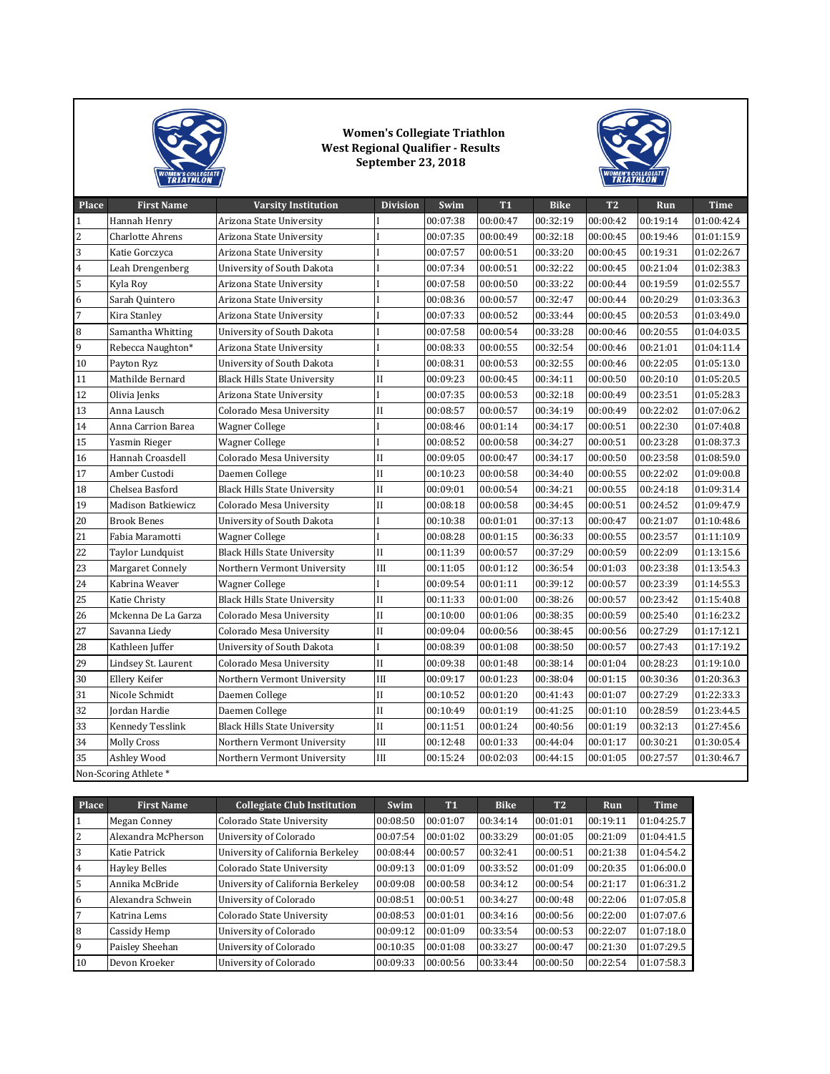

## **Women's Collegiate Triathlon West Regional Qualifier - Results September 23, 2018**



| <b>Place</b>            | <b>First Name</b>       | <b>Varsity Institution</b>          | <b>Division</b>     | Swim     | <b>T1</b> | <b>Bike</b> | <b>T2</b> | Run      | <b>Time</b> |
|-------------------------|-------------------------|-------------------------------------|---------------------|----------|-----------|-------------|-----------|----------|-------------|
| $\mathbf 1$             | Hannah Henry            | Arizona State University            |                     | 00:07:38 | 00:00:47  | 00:32:19    | 00:00:42  | 00:19:14 | 01:00:42.4  |
| $\overline{\mathbf{c}}$ | Charlotte Ahrens        | Arizona State University            |                     | 00:07:35 | 00:00:49  | 00:32:18    | 00:00:45  | 00:19:46 | 01:01:15.9  |
| 3                       | Katie Gorczyca          | Arizona State University            |                     | 00:07:57 | 00:00:51  | 00:33:20    | 00:00:45  | 00:19:31 | 01:02:26.7  |
| 4                       | Leah Drengenberg        | University of South Dakota          |                     | 00:07:34 | 00:00:51  | 00:32:22    | 00:00:45  | 00:21:04 | 01:02:38.3  |
| 5                       | Kyla Roy                | Arizona State University            |                     | 00:07:58 | 00:00:50  | 00:33:22    | 00:00:44  | 00:19:59 | 01:02:55.7  |
| 6                       | Sarah Quintero          | Arizona State University            |                     | 00:08:36 | 00:00:57  | 00:32:47    | 00:00:44  | 00:20:29 | 01:03:36.3  |
| 7                       | Kira Stanley            | Arizona State University            |                     | 00:07:33 | 00:00:52  | 00:33:44    | 00:00:45  | 00:20:53 | 01:03:49.0  |
| 8                       | Samantha Whitting       | University of South Dakota          |                     | 00:07:58 | 00:00:54  | 00:33:28    | 00:00:46  | 00:20:55 | 01:04:03.5  |
| 9                       | Rebecca Naughton*       | Arizona State University            |                     | 00:08:33 | 00:00:55  | 00:32:54    | 00:00:46  | 00:21:01 | 01:04:11.4  |
| 10                      | Payton Ryz              | University of South Dakota          |                     | 00:08:31 | 00:00:53  | 00:32:55    | 00:00:46  | 00:22:05 | 01:05:13.0  |
| 11                      | Mathilde Bernard        | <b>Black Hills State University</b> | П                   | 00:09:23 | 00:00:45  | 00:34:11    | 00:00:50  | 00:20:10 | 01:05:20.5  |
| 12                      | Olivia Jenks            | Arizona State University            |                     | 00:07:35 | 00:00:53  | 00:32:18    | 00:00:49  | 00:23:51 | 01:05:28.3  |
| 13                      | Anna Lausch             | Colorado Mesa University            | II                  | 00:08:57 | 00:00:57  | 00:34:19    | 00:00:49  | 00:22:02 | 01:07:06.2  |
| 14                      | Anna Carrion Barea      | <b>Wagner College</b>               |                     | 00:08:46 | 00:01:14  | 00:34:17    | 00:00:51  | 00:22:30 | 01:07:40.8  |
| 15                      | Yasmin Rieger           | <b>Wagner College</b>               |                     | 00:08:52 | 00:00:58  | 00:34:27    | 00:00:51  | 00:23:28 | 01:08:37.3  |
| 16                      | Hannah Croasdell        | Colorado Mesa University            | П                   | 00:09:05 | 00:00:47  | 00:34:17    | 00:00:50  | 00:23:58 | 01:08:59.0  |
| 17                      | Amber Custodi           | Daemen College                      | II                  | 00:10:23 | 00:00:58  | 00:34:40    | 00:00:55  | 00:22:02 | 01:09:00.8  |
| 18                      | Chelsea Basford         | <b>Black Hills State University</b> | II                  | 00:09:01 | 00:00:54  | 00:34:21    | 00:00:55  | 00:24:18 | 01:09:31.4  |
| 19                      | Madison Batkiewicz      | Colorado Mesa University            | II                  | 00:08:18 | 00:00:58  | 00:34:45    | 00:00:51  | 00:24:52 | 01:09:47.9  |
| 20                      | <b>Brook Benes</b>      | University of South Dakota          |                     | 00:10:38 | 00:01:01  | 00:37:13    | 00:00:47  | 00:21:07 | 01:10:48.6  |
| 21                      | Fabia Maramotti         | <b>Wagner College</b>               |                     | 00:08:28 | 00:01:15  | 00:36:33    | 00:00:55  | 00:23:57 | 01:11:10.9  |
| 22                      | Taylor Lundquist        | <b>Black Hills State University</b> | П                   | 00:11:39 | 00:00:57  | 00:37:29    | 00:00:59  | 00:22:09 | 01:13:15.6  |
| 23                      | Margaret Connely        | Northern Vermont University         | Ш                   | 00:11:05 | 00:01:12  | 00:36:54    | 00:01:03  | 00:23:38 | 01:13:54.3  |
| 24                      | Kabrina Weaver          | <b>Wagner College</b>               |                     | 00:09:54 | 00:01:11  | 00:39:12    | 00:00:57  | 00:23:39 | 01:14:55.3  |
| 25                      | Katie Christy           | <b>Black Hills State University</b> | П                   | 00:11:33 | 00:01:00  | 00:38:26    | 00:00:57  | 00:23:42 | 01:15:40.8  |
| 26                      | Mckenna De La Garza     | Colorado Mesa University            | II                  | 00:10:00 | 00:01:06  | 00:38:35    | 00:00:59  | 00:25:40 | 01:16:23.2  |
| 27                      | Savanna Liedy           | Colorado Mesa University            | II                  | 00:09:04 | 00:00:56  | 00:38:45    | 00:00:56  | 00:27:29 | 01:17:12.1  |
| 28                      | Kathleen Juffer         | University of South Dakota          |                     | 00:08:39 | 00:01:08  | 00:38:50    | 00:00:57  | 00:27:43 | 01:17:19.2  |
| 29                      | Lindsey St. Laurent     | Colorado Mesa University            | $\mathbf{I}$        | 00:09:38 | 00:01:48  | 00:38:14    | 00:01:04  | 00:28:23 | 01:19:10.0  |
| 30                      | Ellery Keifer           | Northern Vermont University         | III                 | 00:09:17 | 00:01:23  | 00:38:04    | 00:01:15  | 00:30:36 | 01:20:36.3  |
| 31                      | Nicole Schmidt          | Daemen College                      | $\mathbf{I}$        | 00:10:52 | 00:01:20  | 00:41:43    | 00:01:07  | 00:27:29 | 01:22:33.3  |
| 32                      | Jordan Hardie           | Daemen College                      | $\overline{\rm II}$ | 00:10:49 | 00:01:19  | 00:41:25    | 00:01:10  | 00:28:59 | 01:23:44.5  |
| 33                      | <b>Kennedy Tesslink</b> | <b>Black Hills State University</b> | $\overline{\rm II}$ | 00:11:51 | 00:01:24  | 00:40:56    | 00:01:19  | 00:32:13 | 01:27:45.6  |
| 34                      | <b>Molly Cross</b>      | Northern Vermont University         | III                 | 00:12:48 | 00:01:33  | 00:44:04    | 00:01:17  | 00:30:21 | 01:30:05.4  |
| 35                      | Ashley Wood             | Northern Vermont University         | Ш                   | 00:15:24 | 00:02:03  | 00:44:15    | 00:01:05  | 00:27:57 | 01:30:46.7  |
| Non-Scoring Athlete*    |                         |                                     |                     |          |           |             |           |          |             |

| <b>Place</b> | <b>First Name</b>    | <b>Collegiate Club Institution</b> | Swim     | <b>T1</b> | <b>Bike</b> | T <sub>2</sub> | Run      | Time       |
|--------------|----------------------|------------------------------------|----------|-----------|-------------|----------------|----------|------------|
|              | Megan Conney         | Colorado State University          | 00:08:50 | 00:01:07  | 00:34:14    | 00:01:01       | 00:19:11 | 01:04:25.7 |
| 2            | Alexandra McPherson  | University of Colorado             | 00:07:54 | 00:01:02  | 00:33:29    | 00:01:05       | 00:21:09 | 01:04:41.5 |
|              | Katie Patrick        | University of California Berkeley  | 00:08:44 | 00:00:57  | 00:32:41    | 00:00:51       | 00:21:38 | 01:04:54.2 |
| 4            | <b>Hayley Belles</b> | Colorado State University          | 00:09:13 | 00:01:09  | 00:33:52    | 00:01:09       | 00:20:35 | 01:06:00.0 |
|              | Annika McBride       | University of California Berkeley  | 00:09:08 | 00:00:58  | 00:34:12    | 00:00:54       | 00:21:17 | 01:06:31.2 |
| 6            | Alexandra Schwein    | University of Colorado             | 00:08:51 | 00:00:51  | 00:34:27    | 00:00:48       | 00:22:06 | 01:07:05.8 |
|              | Katrina Lems         | Colorado State University          | 00:08:53 | 00:01:01  | 00:34:16    | 00:00:56       | 00:22:00 | 01:07:07.6 |
| 8            | Cassidy Hemp         | University of Colorado             | 00:09:12 | 00:01:09  | 00:33:54    | 00:00:53       | 00:22:07 | 01:07:18.0 |
| 9            | Paisley Sheehan      | University of Colorado             | 00:10:35 | 00:01:08  | 00:33:27    | 00:00:47       | 00:21:30 | 01:07:29.5 |
| 10           | Devon Kroeker        | University of Colorado             | 00:09:33 | 00:00:56  | 00:33:44    | 00:00:50       | 00:22:54 | 01:07:58.3 |